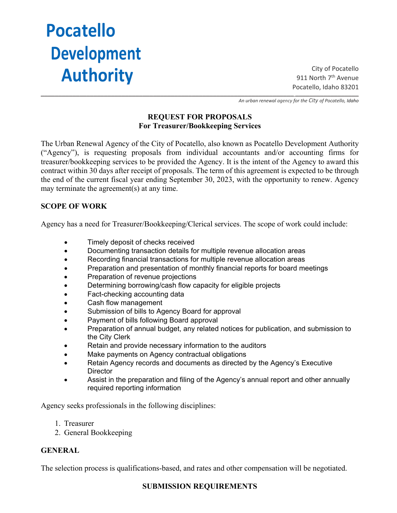# **Pocatello Development Authority**

City of Pocatello 911 North 7<sup>th</sup> Avenue Pocatello, Idaho 83201 \_\_\_\_\_\_\_\_\_\_\_\_\_\_\_\_\_\_\_\_\_\_\_\_\_\_\_\_\_\_\_\_\_\_\_\_\_\_\_\_\_\_\_\_\_\_\_\_\_\_\_\_\_\_\_\_\_\_\_\_\_\_\_\_\_\_\_\_\_\_\_\_ \_\_\_\_\_\_\_\_\_\_\_\_\_\_\_\_\_\_

*An urban renewal agency for the City of Pocatello, Idaho*

## **REQUEST FOR PROPOSALS For Treasurer/Bookkeeping Services**

The Urban Renewal Agency of the City of Pocatello, also known as Pocatello Development Authority ("Agency"), is requesting proposals from individual accountants and/or accounting firms for treasurer/bookkeeping services to be provided the Agency. It is the intent of the Agency to award this contract within 30 days after receipt of proposals. The term of this agreement is expected to be through the end of the current fiscal year ending September 30, 2023, with the opportunity to renew. Agency may terminate the agreement(s) at any time.

## **SCOPE OF WORK**

Agency has a need for Treasurer/Bookkeeping/Clerical services. The scope of work could include:

- Timely deposit of checks received
- Documenting transaction details for multiple revenue allocation areas
- Recording financial transactions for multiple revenue allocation areas
- Preparation and presentation of monthly financial reports for board meetings
- Preparation of revenue projections
- Determining borrowing/cash flow capacity for eligible projects
- Fact-checking accounting data
- Cash flow management
- Submission of bills to Agency Board for approval
- Payment of bills following Board approval
- Preparation of annual budget, any related notices for publication, and submission to the City Clerk
- Retain and provide necessary information to the auditors
- Make payments on Agency contractual obligations
- Retain Agency records and documents as directed by the Agency's Executive **Director**
- Assist in the preparation and filing of the Agency's annual report and other annually required reporting information

Agency seeks professionals in the following disciplines:

- 1. Treasurer
- 2. General Bookkeeping

#### **GENERAL**

The selection process is qualifications-based, and rates and other compensation will be negotiated.

#### **SUBMISSION REQUIREMENTS**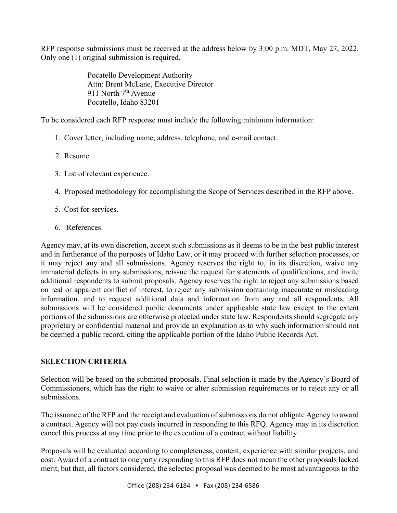RFP response submissions must be received at the address below by 3:00 p.m. MDT, May 27, 2022. Only one (1) original submission is required.

> Pocatello Development Authority Attn: Brent McLane, Executive Director 911 North  $7<sup>th</sup>$  Avenue Pocatello, Idaho 83201

To be considered each RFP response must include the following minimum information:

- 1. Cover letter; including name, address, telephone, and e-mail contact.
- 2. Resume.
- 3. List of relevant experience.
- 4. Proposed methodology for accomplishing the Scope of Services described in the RFP above.
- 5. Cost for services.
- 6. References.

Agency may, at its own discretion, accept such submissions as it deems to be in the best public interest and in furtherance of the purposes of Idaho Law, or it may proceed with further selection processes, or it may reject any and all submissions. Agency reserves the right to, in its discretion, waive any immaterial defects in any submissions, reissue the request for statements of qualifications, and invite additional respondents to submit proposals. Agency reserves the right to reject any submissions based on real or apparent conflict of interest, to reject any submission containing inaccurate or misleading information, and to request additional data and information from any and all respondents. All submissions will be considered public documents under applicable state law except to the extent portions of the submissions are otherwise protected under state law. Respondents should segregate any proprietary or confidential material and provide an explanation as to why such information should not be deemed a public record, citing the applicable portion of the Idaho Public Records Act.

# **SELECTION CRITERIA**

Selection will be based on the submitted proposals. Final selection is made by the Agency's Board of Commissioners, which has the right to waive or alter submission requirements or to reject any or all submissions.

The issuance of the RFP and the receipt and evaluation of submissions do not obligate Agency to award a contract. Agency will not pay costs incurred in responding to this RFQ. Agency may in its discretion cancel this process at any time prior to the execution of a contract without liability.

Proposals will be evaluated according to completeness, content, experience with similar projects, and cost. Award of a contract to one party responding to this RFP does not mean the other proposals lacked merit, but that, all factors considered, the selected proposal was deemed to be most advantageous to the